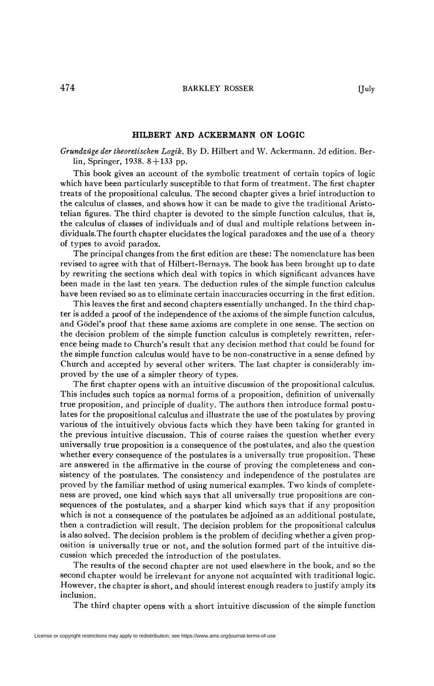## **HILBERT AND ACKERMANN ON LOGIC**

*Grundzüge der theoretischen Logik.* By D. Hubert and W. Ackermann. 2d edition. Berlin, Springer, 1938. 8 + 133 pp.

This book gives an account of the symbolic treatment of certain topics of logic which have been particularly susceptible to that form of treatment. The first chapter treats of the propositional calculus. The second chapter gives a brief introduction to the calculus of classes, and shows how it can be made to give the traditional Aristotelian figures. The third chapter is devoted to the simple function calculus, that is, the calculus of classes of individuals and of dual and multiple relations between individuals.The fourth chapter elucidates the logical paradoxes and the use of a theory of types to avoid paradox.

The principal changes from the first edition are these: The nomenclature has been revised to agree with that of Hilbert-Bernays. The book has been brought up to date by rewriting the sections which deal with topics in which significant advances have been made in the last ten years. The deduction rules of the simple function calculus have been revised so as to eliminate certain inaccuracies occurring in the first edition.

This leaves the first and second chapters essentially unchanged. In the third chapter is added a proof of the independence of the axioms of the simple function calculus, and Gödel's proof that these same axioms are complete in one sense. The section on the decision problem of the simple function calculus is completely rewritten, reference being made to Church's result that any decision method that could be found for the simple function calculus would have to be non-constructive in a sense defined by Church and accepted by several other writers. The last chapter is considerably improved by the use of a simpler theory of types.

The first chapter opens with an intuitive discussion of the propositional calculus. This includes such topics as normal forms of a proposition, definition of universally true proposition, and principle of duality. The authors then introduce formal postulates for the propositional calculus and illustrate the use of the postulates by proving various of the intuitively obvious facts which they have been taking for granted in the previous intuitive discussion. This of course raises the question whether every universally true proposition is a consequence of the postulates, and also the question whether every consequence of the postulates is a universally true proposition. These are answered in the affirmative in the course of proving the completeness and consistency of the postulates. The consistency and independence of the postulates are proved by the familiar method of using numerical examples. Two kinds of completeness are proved, one kind which says that all universally true propositions are consequences of the postulates, and a sharper kind which says that if any proposition which is not a consequence of the postulates be adjoined as an additional postulate, then a contradiction will result. The decision problem for the propositional calculus is also solved. The decision problem is the problem of deciding whether a given proposition is universally true or not, and the solution formed part of the intuitive discussion which preceded the introduction of the postulates.

The results of the second chapter are not used elsewhere in the book, and so the second chapter would be irrelevant for anyone not acquainted with traditional logic. However, the chapter is short, and should interest enough readers to justify amply its inclusion.

The third chapter opens with a short intuitive discussion of the simple function